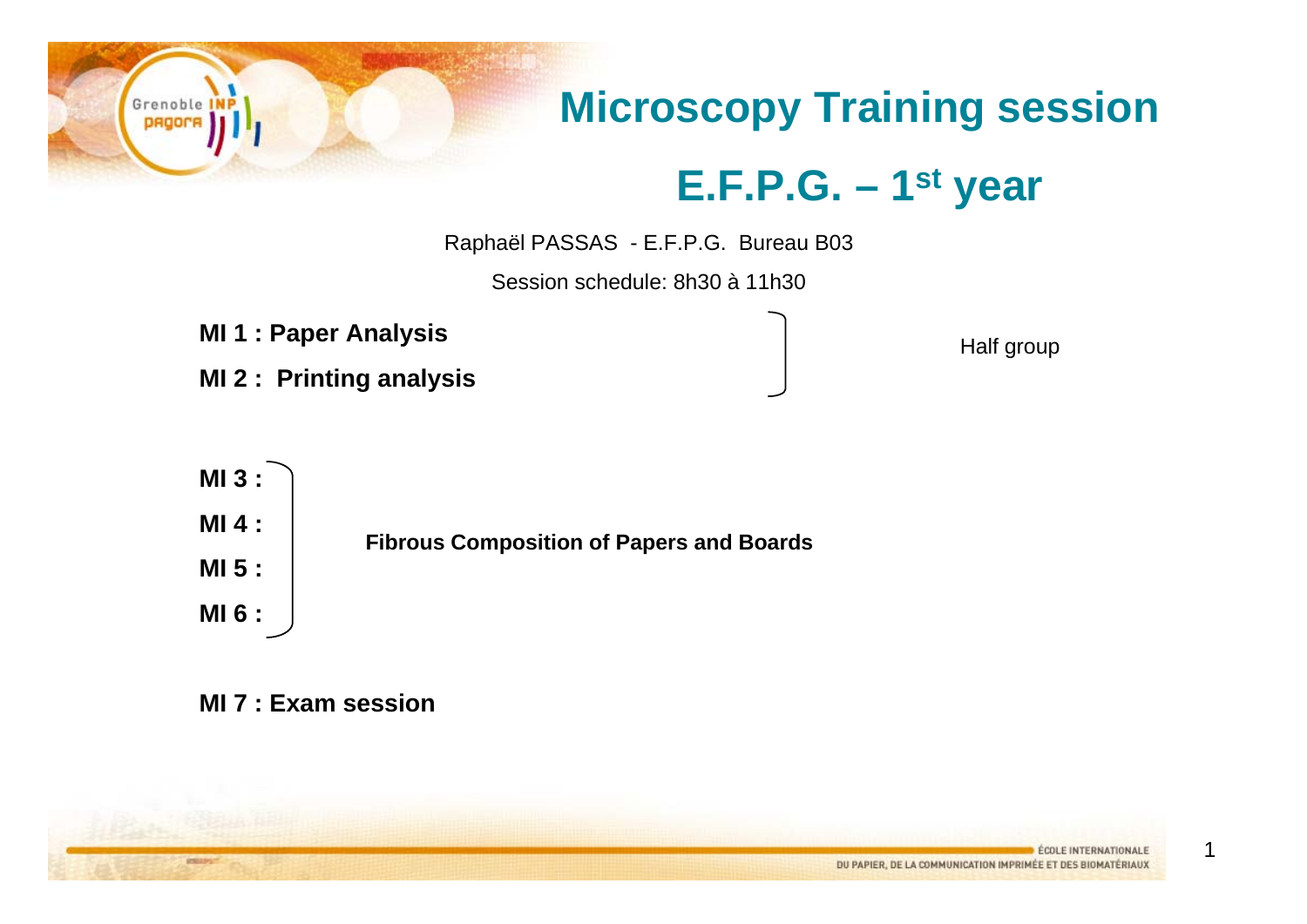## **Microscopy Training session E.F.P.G. – 1st year**

Raphaël PASSAS - E.F.P.G. Bureau B03

Session schedule: 8h30 à 11h30

**MI 1 : Paper Analysis**

**MI 2 : Printing analysis**

Half group



**MI 7 : Exam session**

1

Grenoble DROO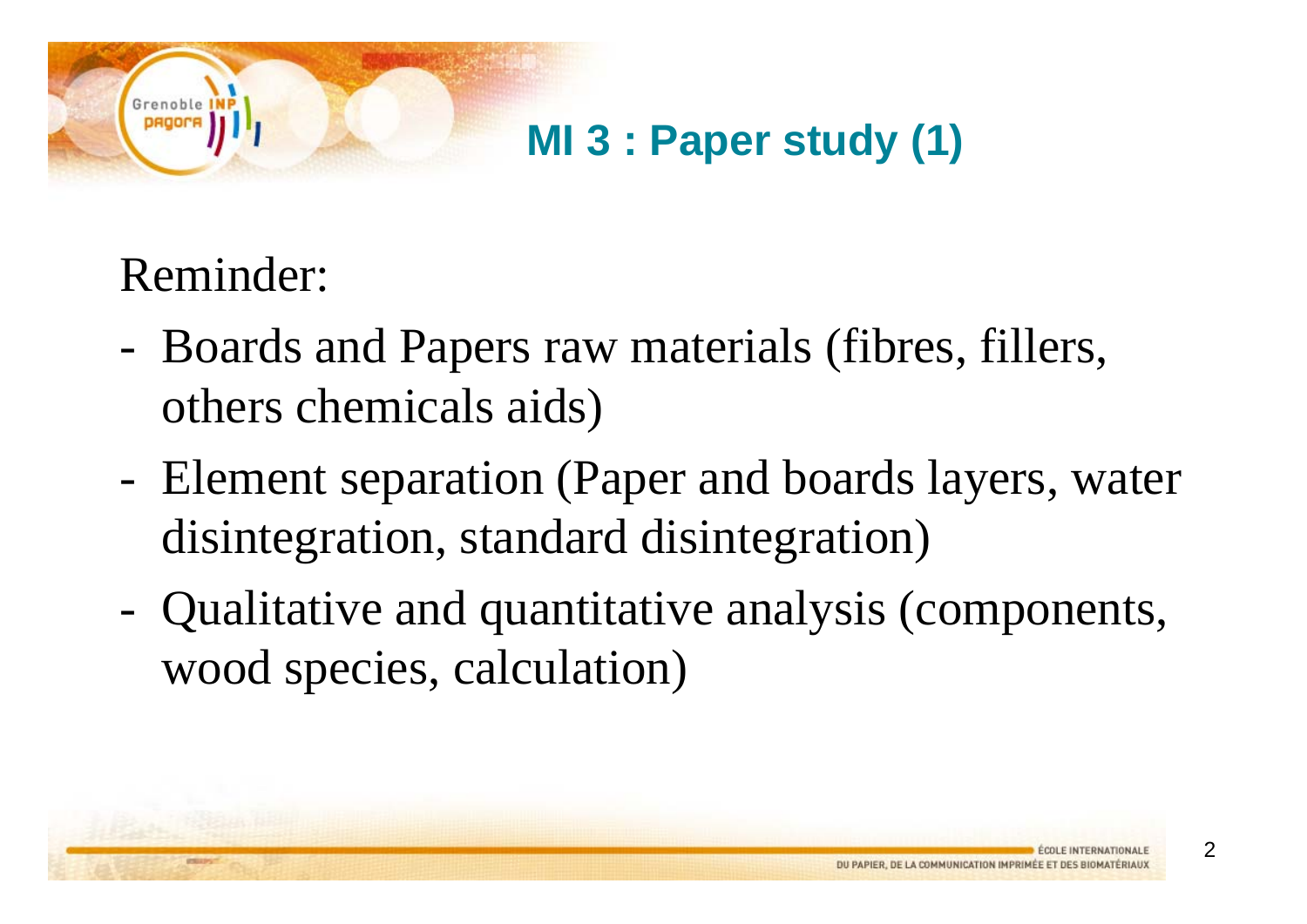#### **MI 3 : Paper study (1)**

### Reminder:

Grenob

- - Boards and Papers raw materials (fibres, fillers, others chemicals aids)
- - Element separation (Paper and boards layers, water disintegration, standard disintegration)
- - Qualitative and quantitative analysis (components, wood species, calculation)

 $\mathfrak{p}$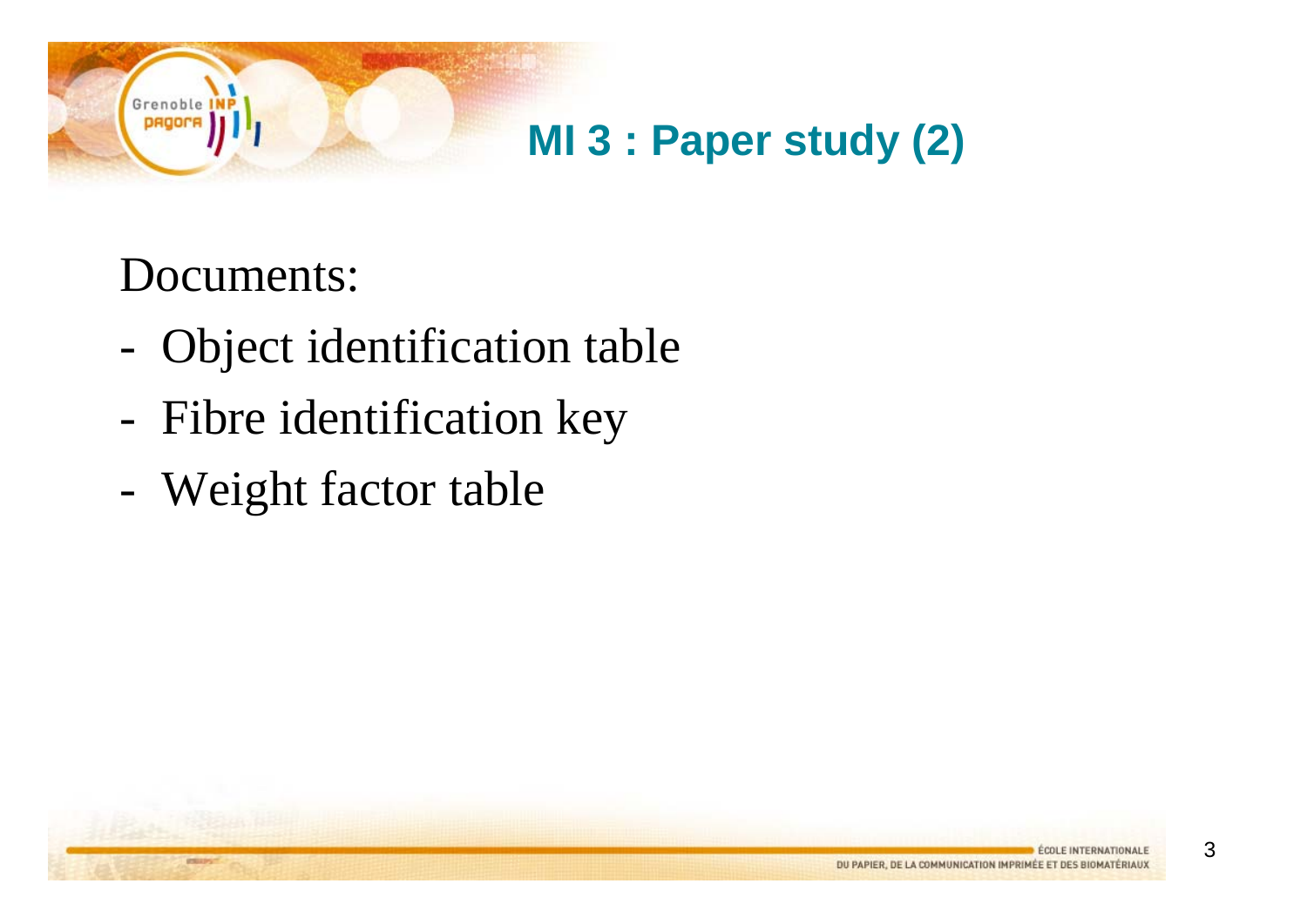

#### Documents:

Grenoble **DROO** 

- -Object identification table
- -Fibre identification key
- -Weight factor table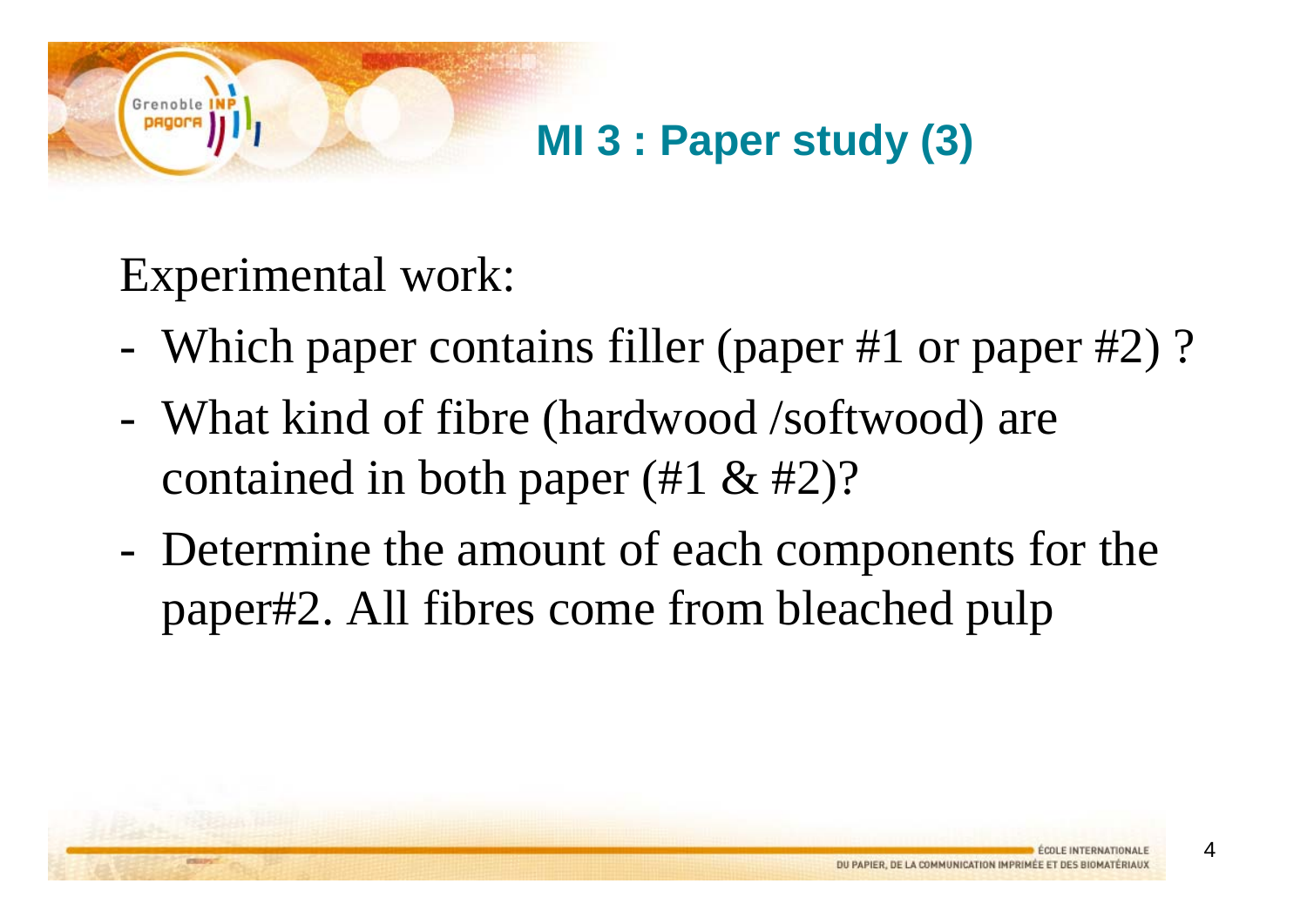#### **MI 3 : Paper study (3)**

#### Experimental work:

- -Which paper contains filler (paper #1 or paper #2) ?
- - What kind of fibre (hardwood /softwood) are contained in both paper (#1 & #2)?
- - Determine the amount of each components for the paper#2. All fibres come from bleached pulp

4

Grenob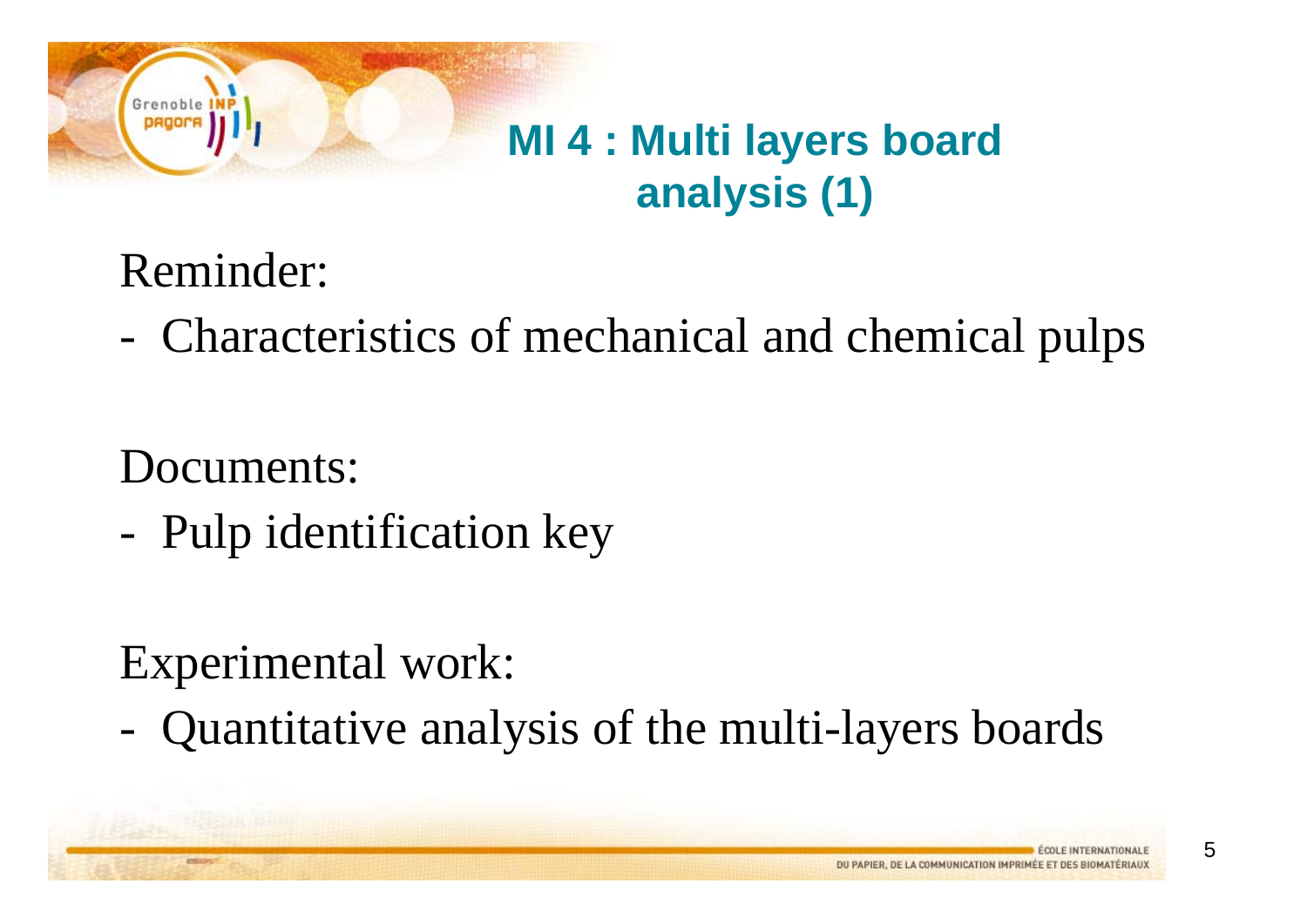### **MI 4 : Multi layers board analysis (1)**

Reminder:

Grenoble

-Characteristics of mechanical and chemical pulps

Documents:

-Pulp identification key

### Experimental work:

-Quantitative analysis of the multi-layers boards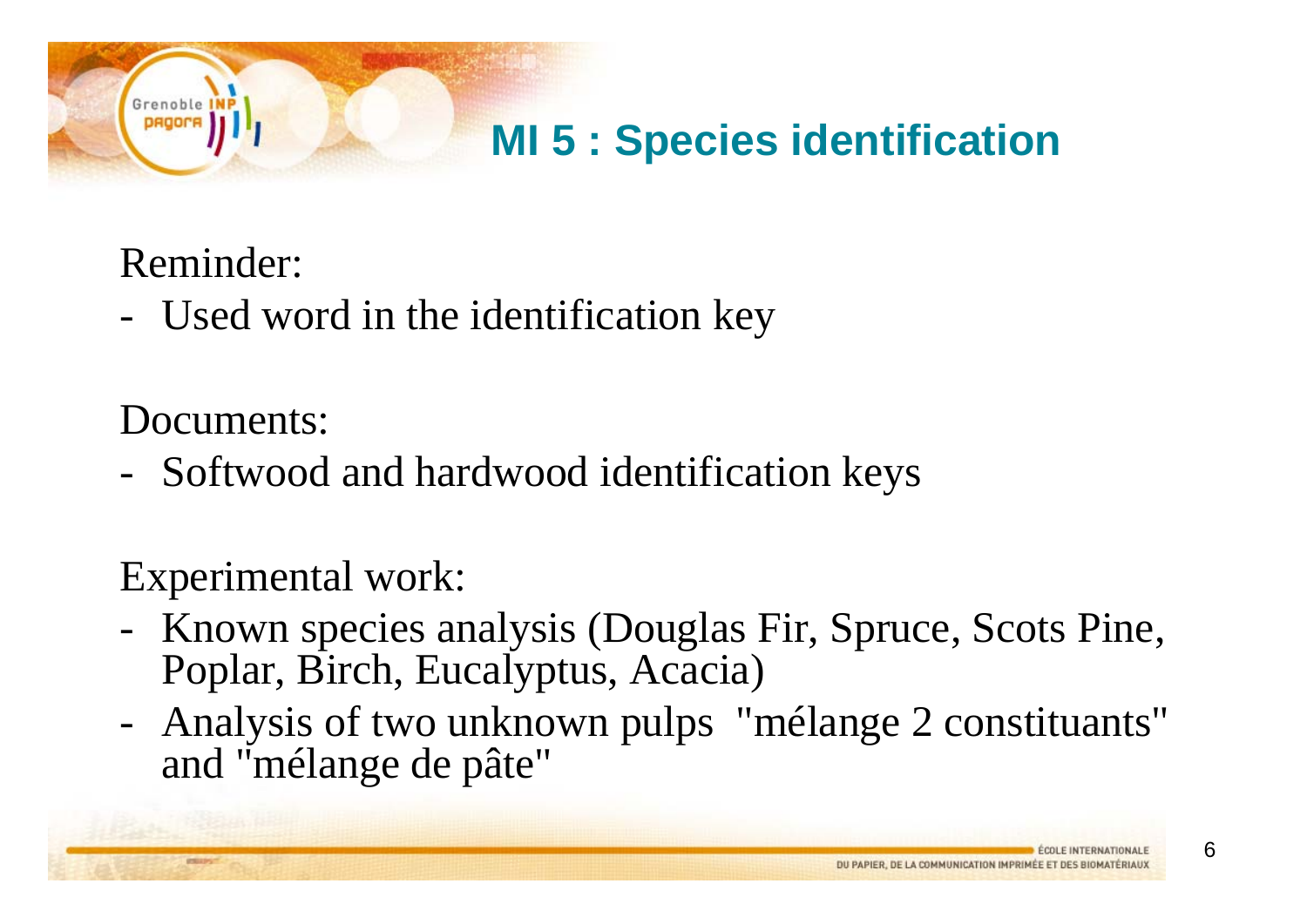#### **MI 5 : Species identification**

Reminder:

Grenoble

Used word in the identification key

Documents:

Softwood and hardwood identification keys

Experimental work:

- Known species analysis (Douglas Fir, Spruce, Scots Pine, Poplar, Birch, Eucalyptus, Acacia)
- Analysis of two unknown pulps "mélange 2 constituants" and "mélange de pâte"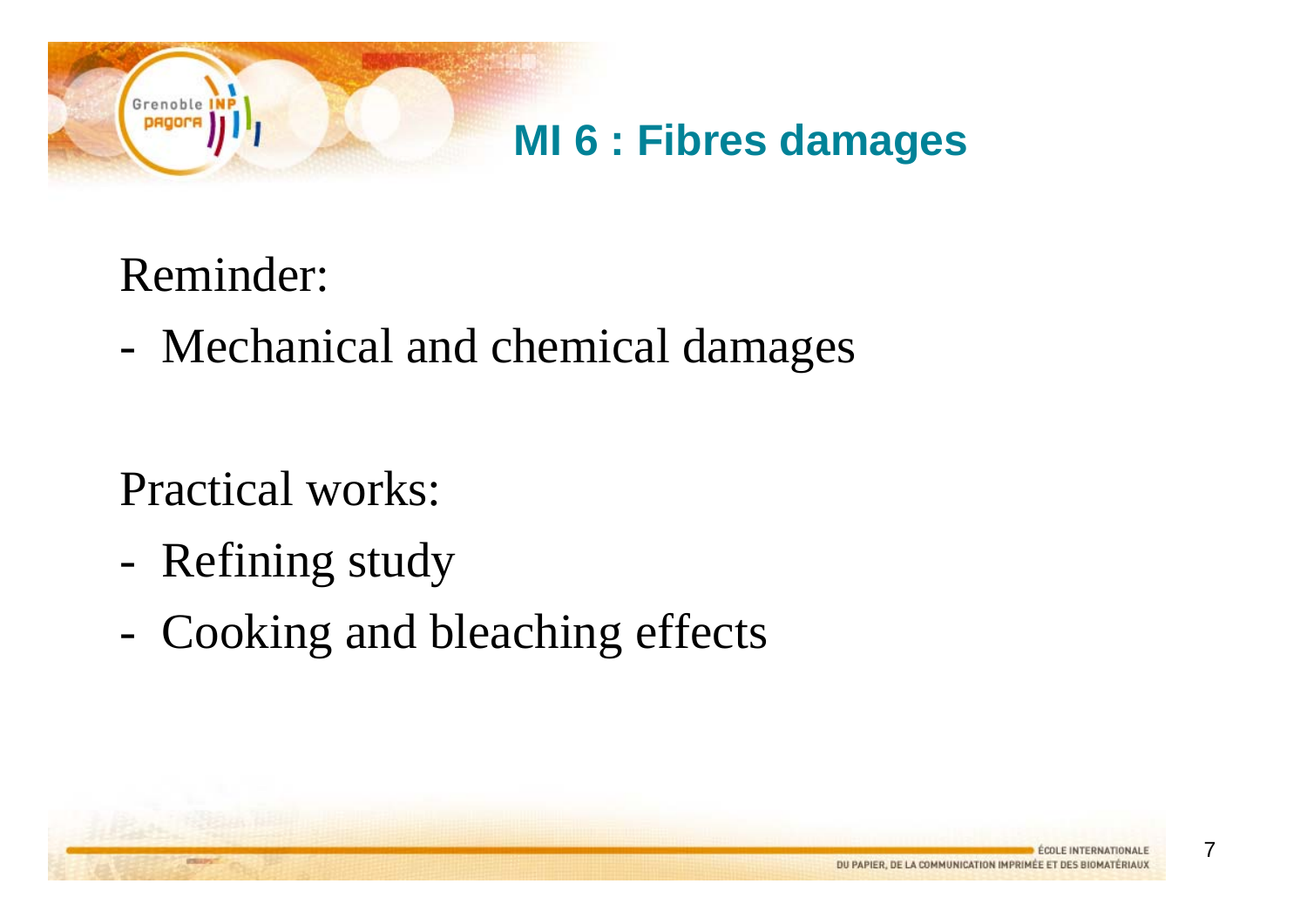

### Reminder:

Grenoble

-Mechanical and chemical damages

Practical works:

- -Refining study
- -Cooking and bleaching effects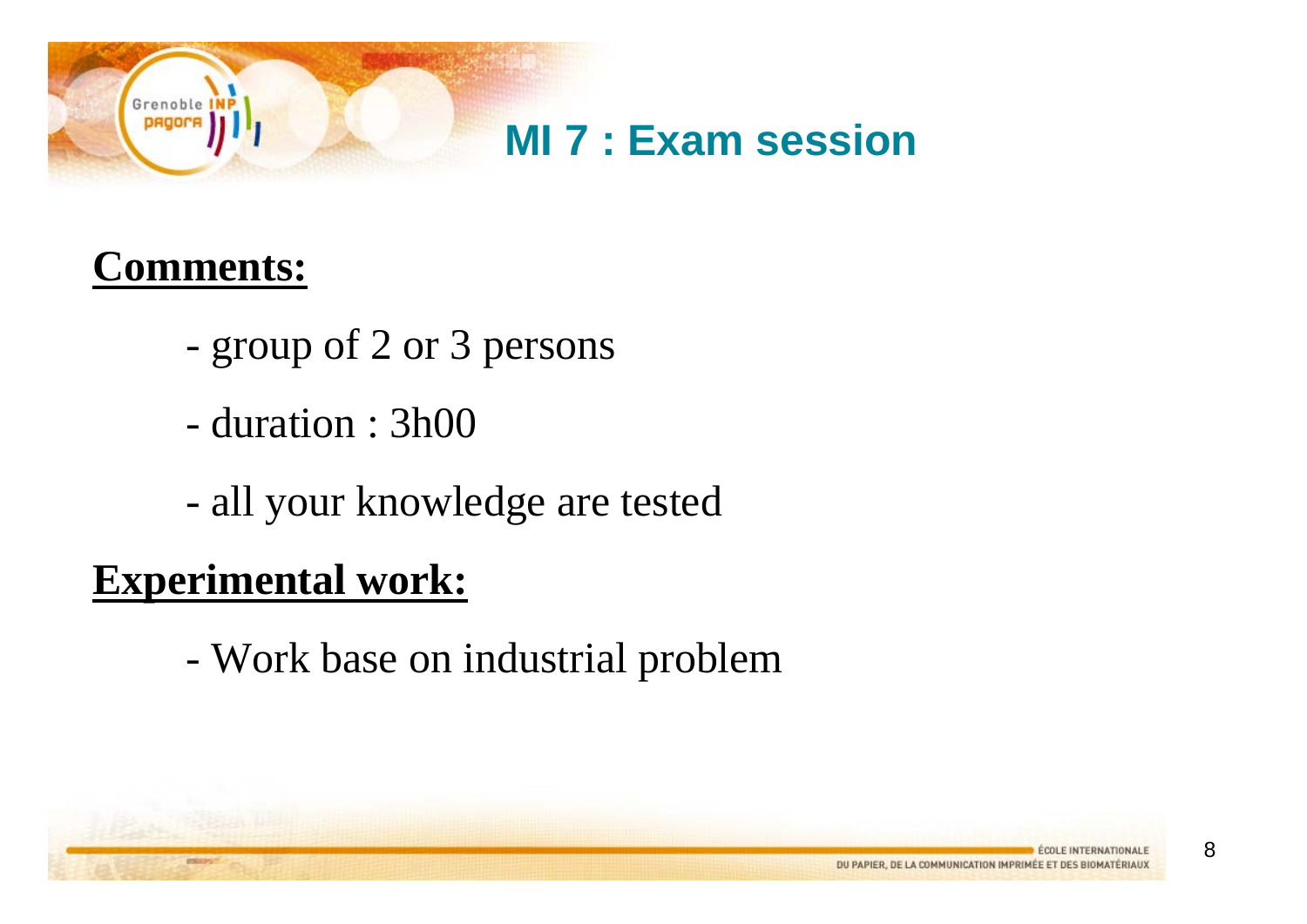

#### **Comments:**

- group of 2 or 3 persons
- duration : 3h00
- all your knowledge are tested

#### **Experimental work:**

-Work base on industrial problem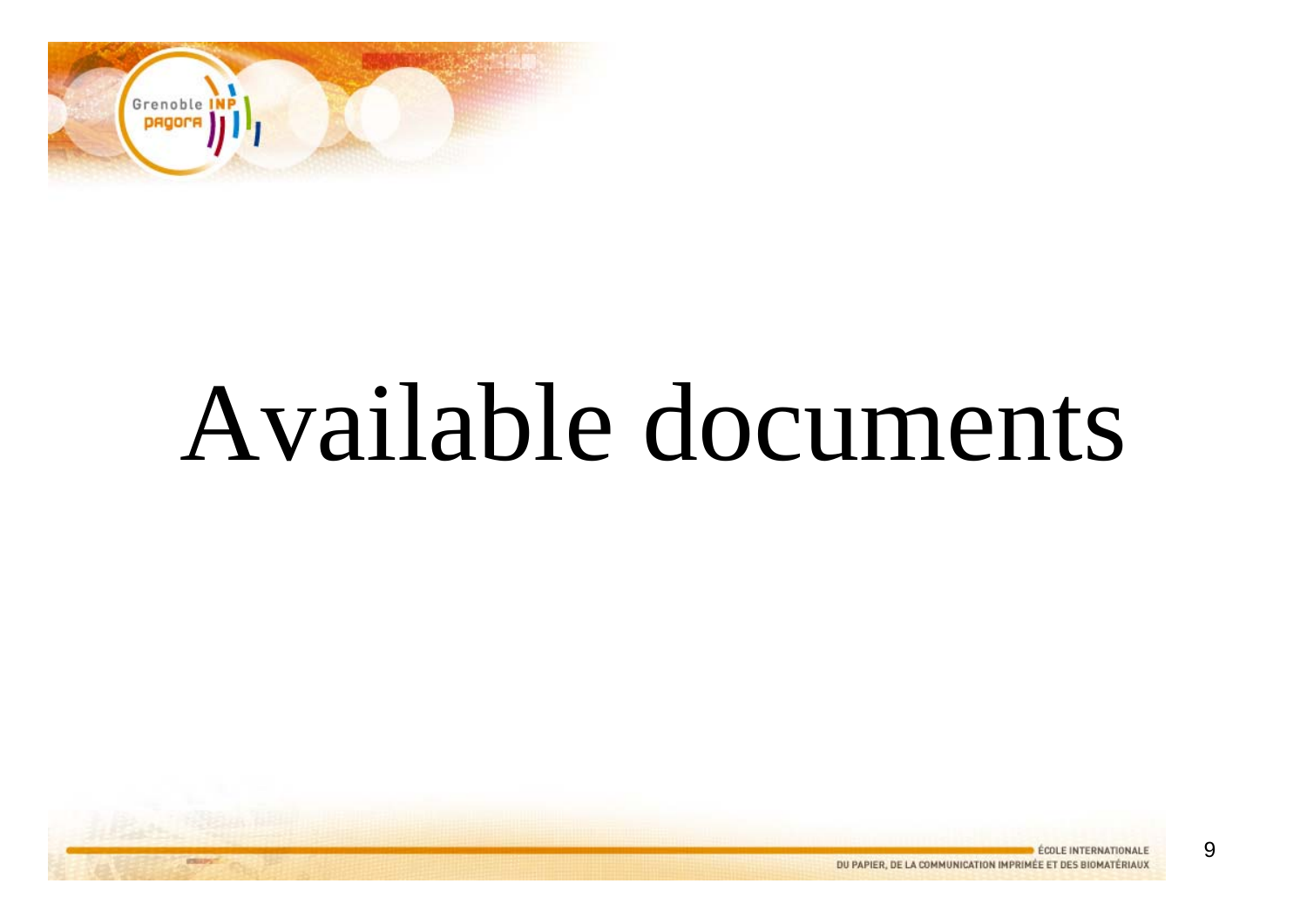

# Available documents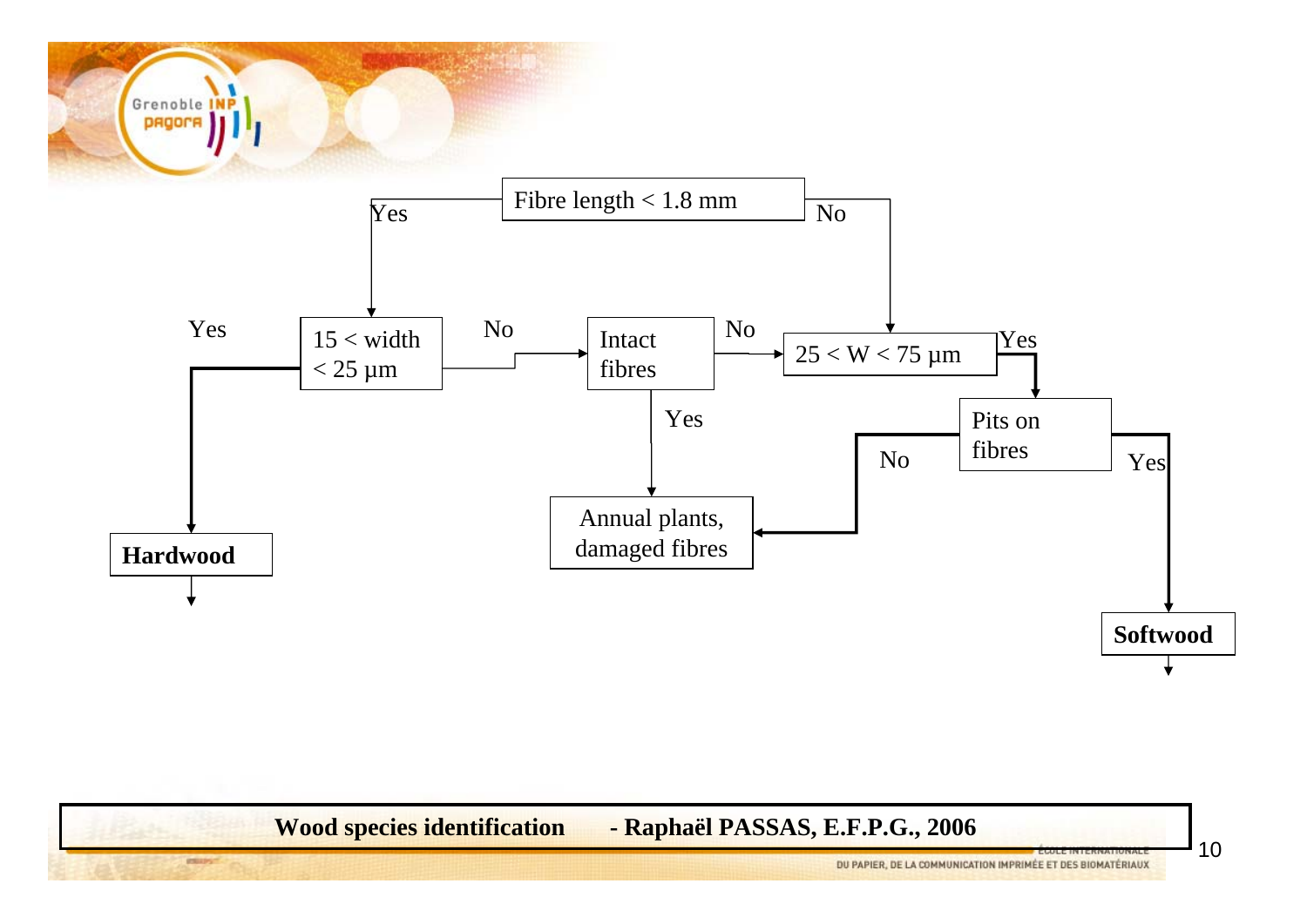

**Wood species identification - Raphaël PASSAS, E.F.P.G., 2006**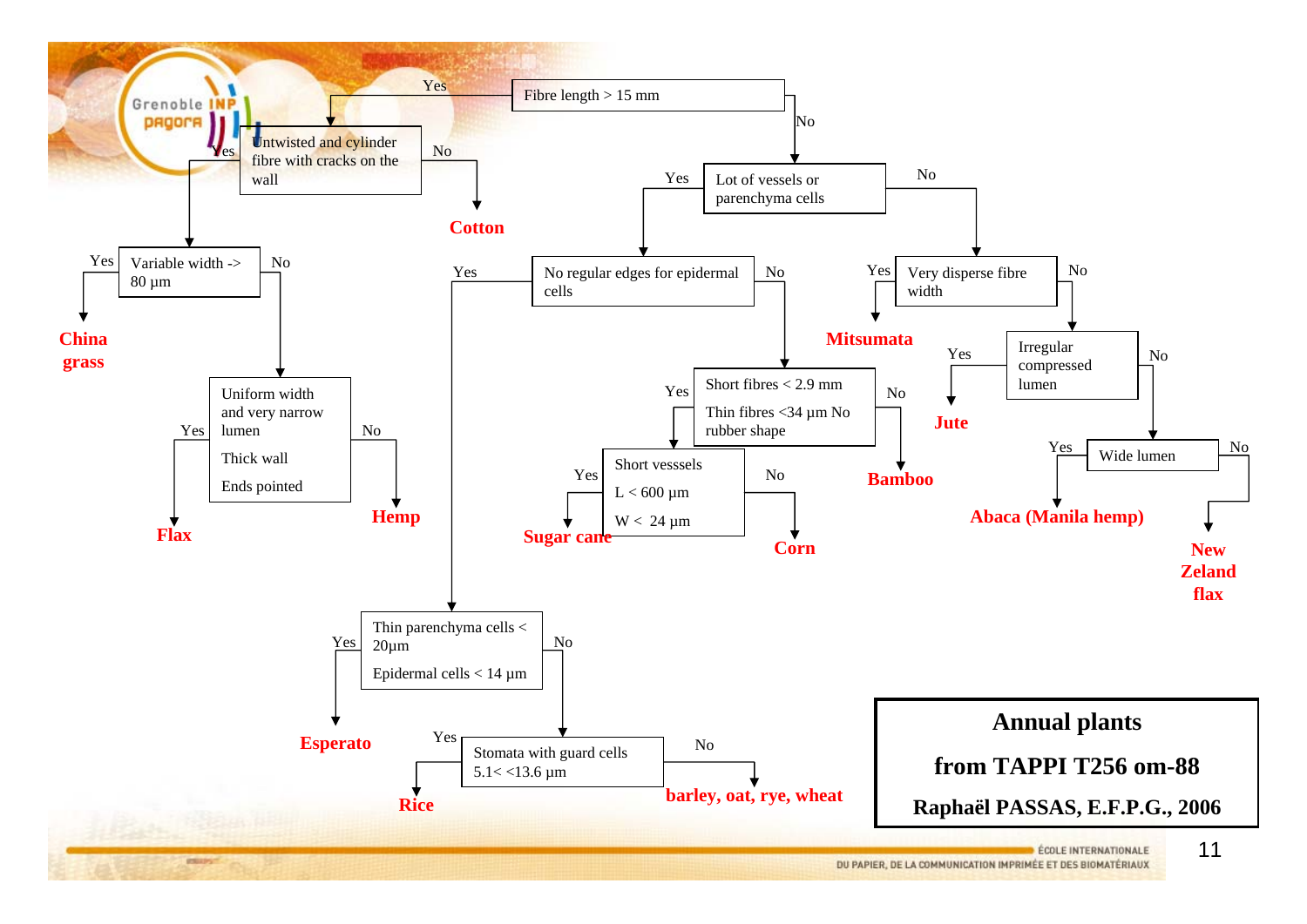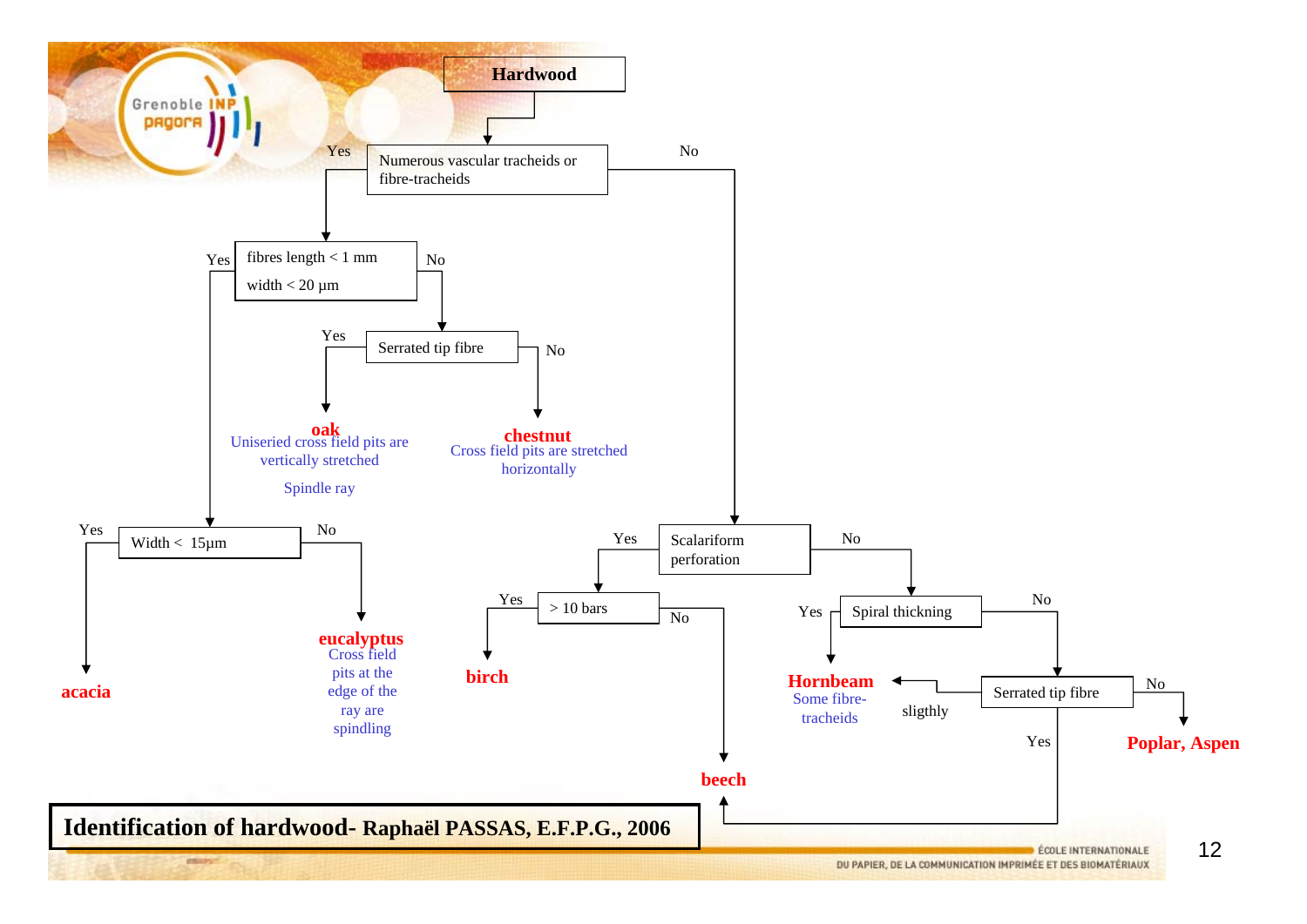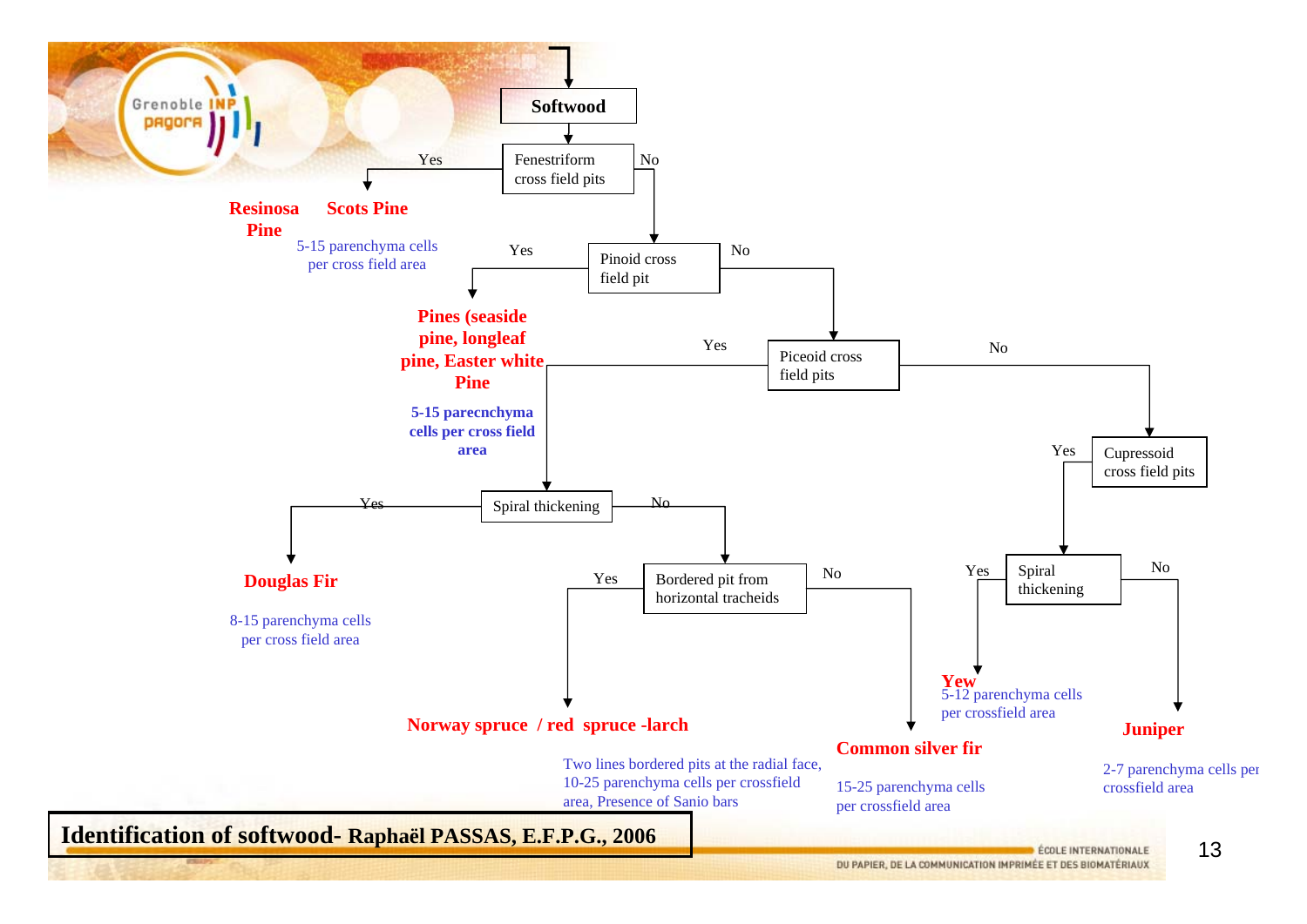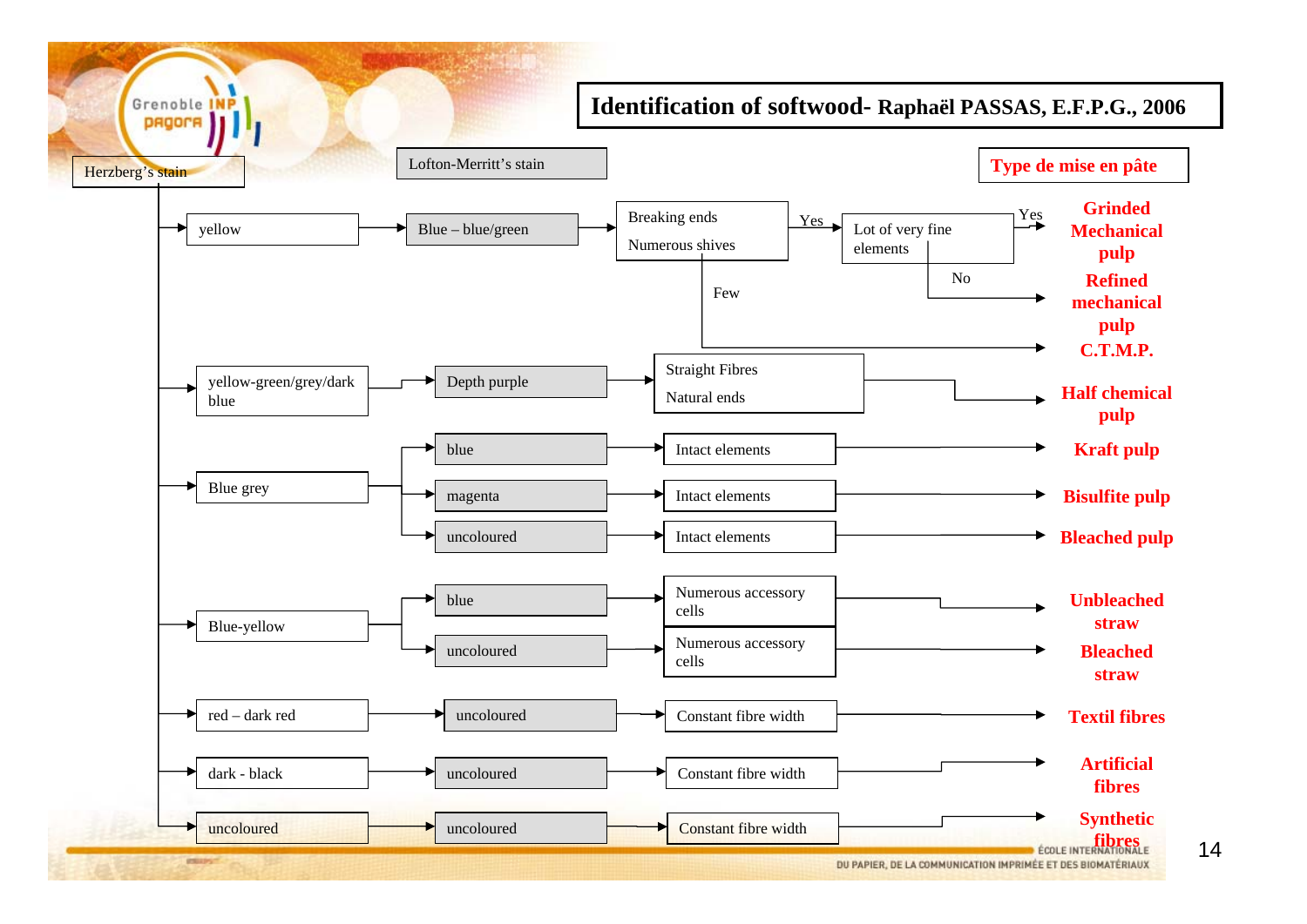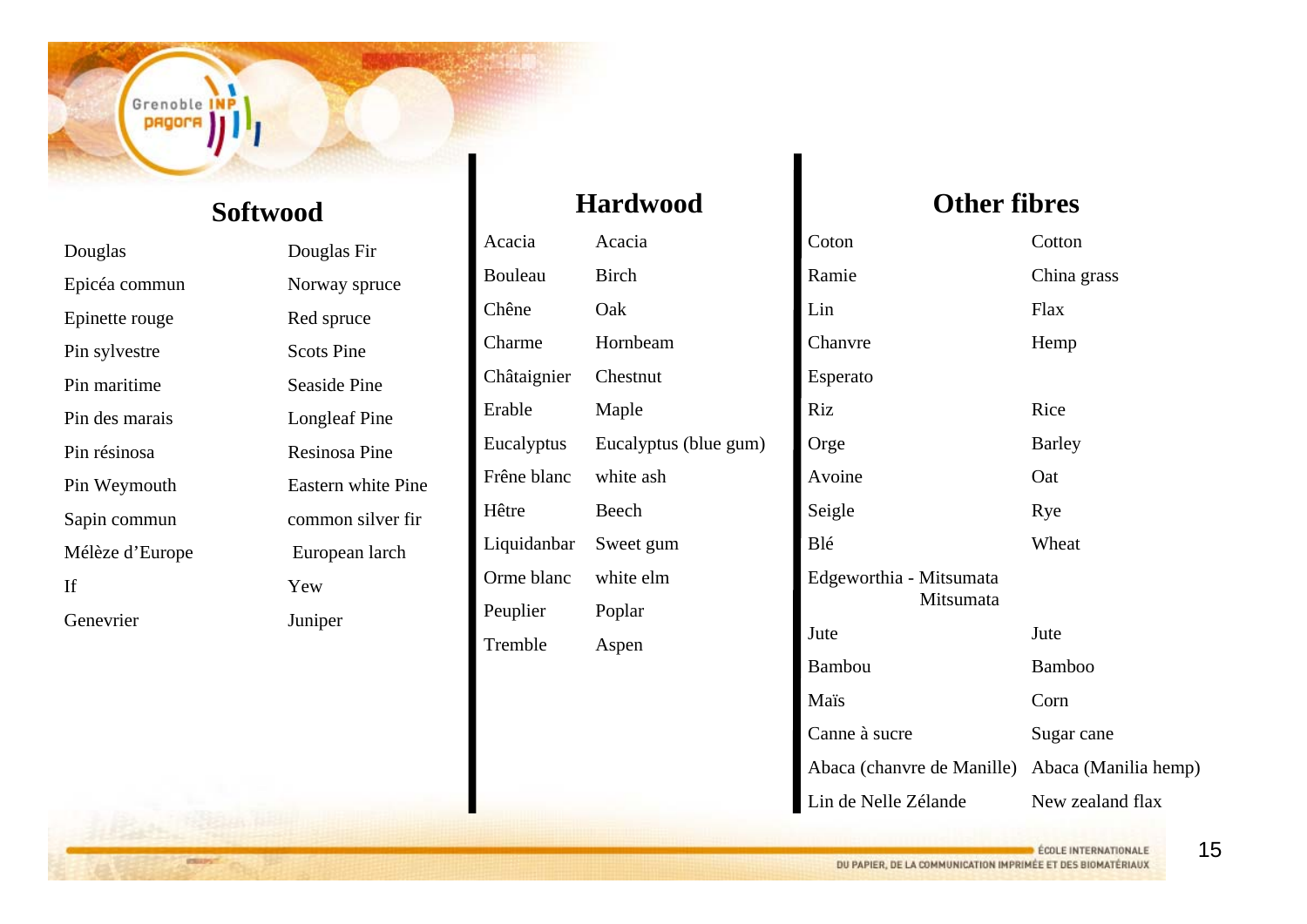#### Grenoble II **PROOFR**

#### **Softwood**

Douglas Douglas Fir Epicéa commun Norway spruce Epinette rouge Red spruce Pin sylvestre Scots Pine Pin maritimePin des maraisPin résinosaIfGenevrier

 Seaside Pine Longleaf Pine Resinosa Pine Pin Weymouth Eastern white Pine Sapin commun common silver fir Mélèze d'Europe European larch YewJuniper

#### **Hardwood**

Acacia AcaciaBouleau BirchChêne OakCharme HornbeamChâtaignier Chestnut Erable Maple Eucalyptus Eucalyptus (blue gum) Frêne blanc white ashHêtre Beech Liquidanbar Sweet gum Orme blanc white elmPeuplier Poplar Tremble Aspen

#### **Other fibres**

| Coton                                           | Cotton           |
|-------------------------------------------------|------------------|
| Ramie                                           | China grass      |
| Lin                                             | Flax             |
| Chanvre                                         | Hemp             |
| Esperato                                        |                  |
| Riz                                             | Rice             |
| Orge                                            | <b>Barley</b>    |
| Avoine                                          | Oat              |
| Seigle                                          | Rye              |
| Blé                                             | Wheat            |
| Edgeworthia - Mitsumata<br>Mitsumata            |                  |
| Jute                                            | Jute             |
| <b>Bambou</b>                                   | <b>Bamboo</b>    |
| Maïs                                            | Corn             |
| Canne à sucre                                   | Sugar cane       |
| Abaca (chanvre de Manille) Abaca (Manilia hemp) |                  |
| Lin de Nelle Zélande                            | New zealand flax |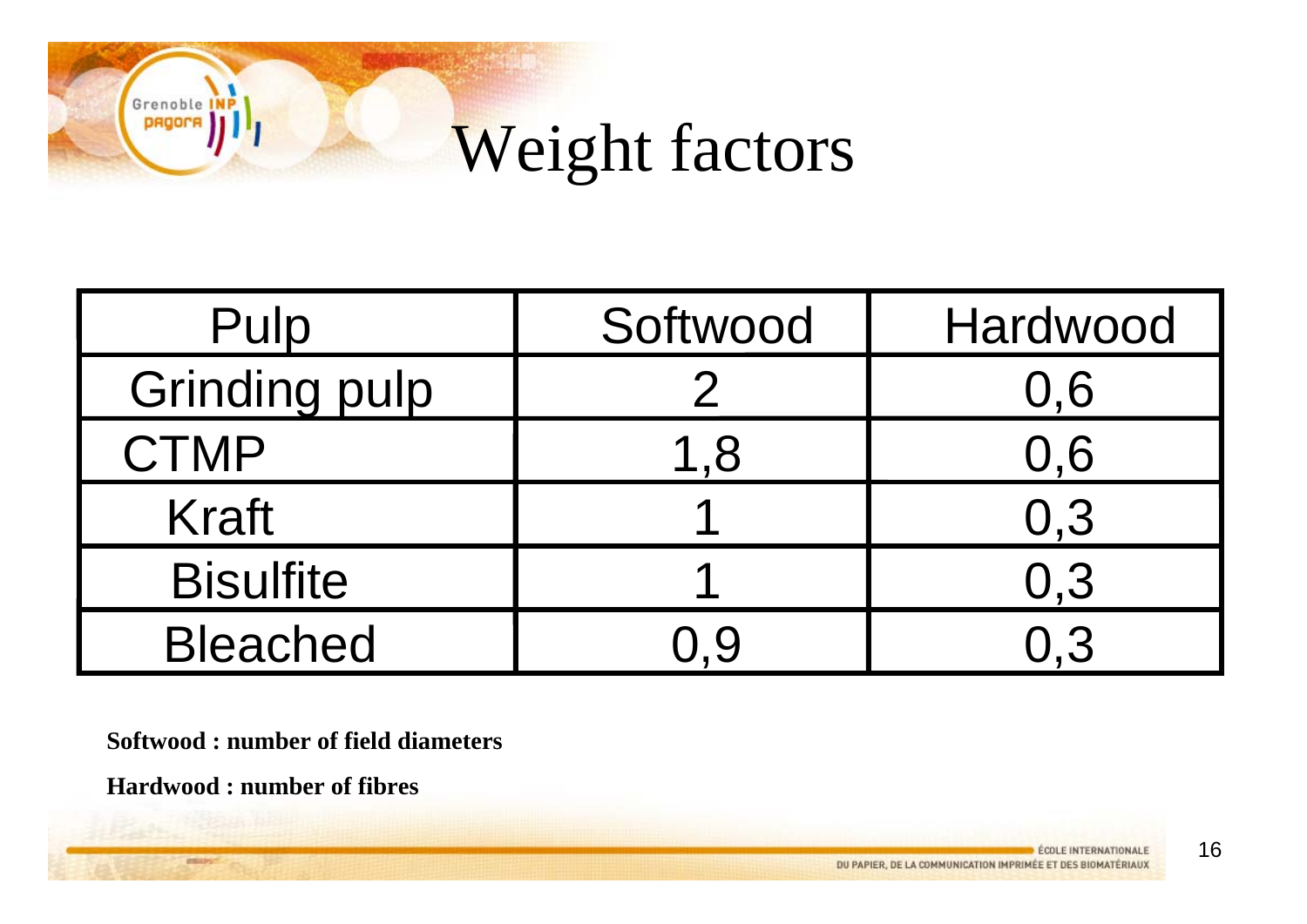# Weight factors

| Pulp                 | Softwood | Hardwood |
|----------------------|----------|----------|
| <b>Grinding pulp</b> |          | 0,6      |
| <b>CTMP</b>          | 1,8      | 0,6      |
| <b>Kraft</b>         |          | 0.3      |
| <b>Bisulfite</b>     |          | 0.3      |
| <b>Bleached</b>      |          |          |

**Softwood : number of field diameters**

**Hardwood : number of fibres**

Grenoble pagor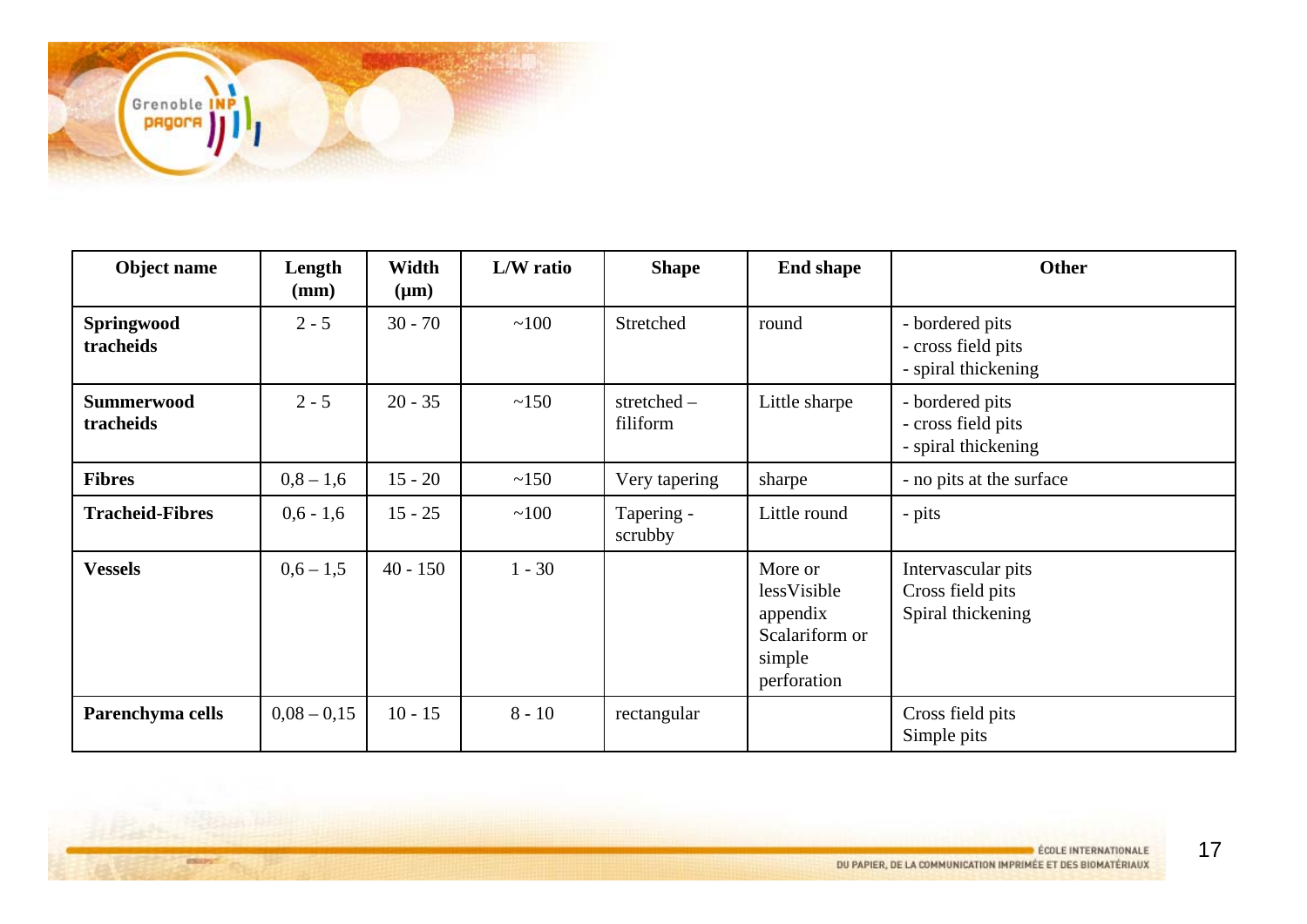

| Object name                    | Length<br>(mm) | Width<br>$(\mu m)$ | L/W ratio | <b>Shape</b>              | <b>End shape</b>                                                              | Other                                                        |
|--------------------------------|----------------|--------------------|-----------|---------------------------|-------------------------------------------------------------------------------|--------------------------------------------------------------|
| Springwood<br>tracheids        | $2 - 5$        | $30 - 70$          | ~100      | Stretched                 | round                                                                         | - bordered pits<br>- cross field pits<br>- spiral thickening |
| <b>Summerwood</b><br>tracheids | $2 - 5$        | $20 - 35$          | ~150      | stretched $-$<br>filiform | Little sharpe                                                                 | - bordered pits<br>- cross field pits<br>- spiral thickening |
| <b>Fibres</b>                  | $0,8-1,6$      | $15 - 20$          | ~150      | Very tapering             | sharpe                                                                        | - no pits at the surface                                     |
| <b>Tracheid-Fibres</b>         | $0.6 - 1.6$    | $15 - 25$          | ~100      | Tapering -<br>scrubby     | Little round                                                                  | - pits                                                       |
| <b>Vessels</b>                 | $0.6 - 1.5$    | $40 - 150$         | $1 - 30$  |                           | More or<br>lessVisible<br>appendix<br>Scalariform or<br>simple<br>perforation | Intervascular pits<br>Cross field pits<br>Spiral thickening  |
| Parenchyma cells               | $0,08 - 0,15$  | $10 - 15$          | $8 - 10$  | rectangular               |                                                                               | Cross field pits<br>Simple pits                              |